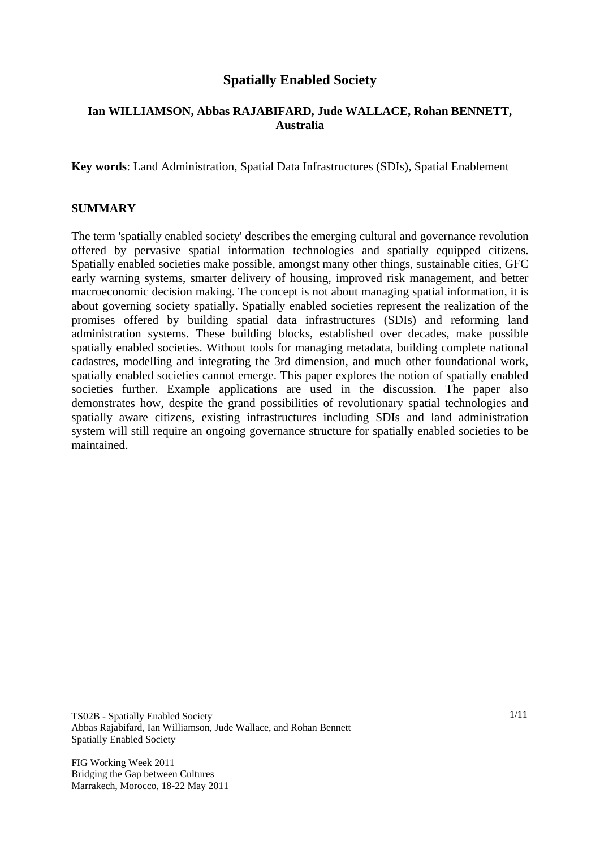## **Spatially Enabled Society**

#### **Ian WILLIAMSON, Abbas RAJABIFARD, Jude WALLACE, Rohan BENNETT, Australia**

**Key words**: Land Administration, Spatial Data Infrastructures (SDIs), Spatial Enablement

#### **SUMMARY**

The term 'spatially enabled society' describes the emerging cultural and governance revolution offered by pervasive spatial information technologies and spatially equipped citizens. Spatially enabled societies make possible, amongst many other things, sustainable cities, GFC early warning systems, smarter delivery of housing, improved risk management, and better macroeconomic decision making. The concept is not about managing spatial information, it is about governing society spatially. Spatially enabled societies represent the realization of the promises offered by building spatial data infrastructures (SDIs) and reforming land administration systems. These building blocks, established over decades, make possible spatially enabled societies. Without tools for managing metadata, building complete national cadastres, modelling and integrating the 3rd dimension, and much other foundational work, spatially enabled societies cannot emerge. This paper explores the notion of spatially enabled societies further. Example applications are used in the discussion. The paper also demonstrates how, despite the grand possibilities of revolutionary spatial technologies and spatially aware citizens, existing infrastructures including SDIs and land administration system will still require an ongoing governance structure for spatially enabled societies to be maintained.

TS02B - Spatially Enabled Society Abbas Rajabifard, Ian Williamson, Jude Wallace, and Rohan Bennett Spatially Enabled Society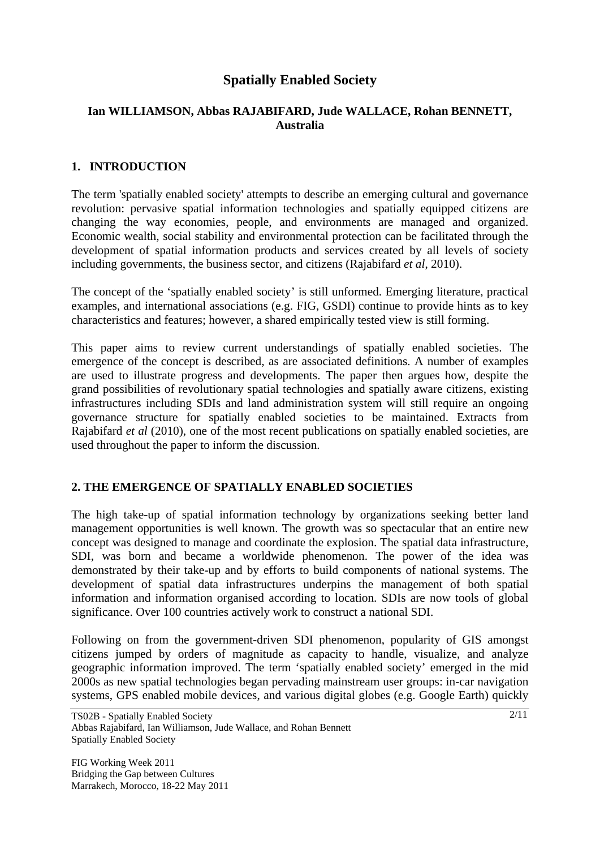# **Spatially Enabled Society**

### **Ian WILLIAMSON, Abbas RAJABIFARD, Jude WALLACE, Rohan BENNETT, Australia**

### **1. INTRODUCTION**

The term 'spatially enabled society' attempts to describe an emerging cultural and governance revolution: pervasive spatial information technologies and spatially equipped citizens are changing the way economies, people, and environments are managed and organized. Economic wealth, social stability and environmental protection can be facilitated through the development of spatial information products and services created by all levels of society including governments, the business sector, and citizens (Rajabifard *et al*, 2010).

The concept of the 'spatially enabled society' is still unformed. Emerging literature, practical examples, and international associations (e.g. FIG, GSDI) continue to provide hints as to key characteristics and features; however, a shared empirically tested view is still forming.

This paper aims to review current understandings of spatially enabled societies. The emergence of the concept is described, as are associated definitions. A number of examples are used to illustrate progress and developments. The paper then argues how, despite the grand possibilities of revolutionary spatial technologies and spatially aware citizens, existing infrastructures including SDIs and land administration system will still require an ongoing governance structure for spatially enabled societies to be maintained. Extracts from Rajabifard *et al* (2010), one of the most recent publications on spatially enabled societies, are used throughout the paper to inform the discussion.

#### **2. THE EMERGENCE OF SPATIALLY ENABLED SOCIETIES**

The high take-up of spatial information technology by organizations seeking better land management opportunities is well known. The growth was so spectacular that an entire new concept was designed to manage and coordinate the explosion. The spatial data infrastructure, SDI, was born and became a worldwide phenomenon. The power of the idea was demonstrated by their take-up and by efforts to build components of national systems. The development of spatial data infrastructures underpins the management of both spatial information and information organised according to location. SDIs are now tools of global significance. Over 100 countries actively work to construct a national SDI.

Following on from the government-driven SDI phenomenon, popularity of GIS amongst citizens jumped by orders of magnitude as capacity to handle, visualize, and analyze geographic information improved. The term 'spatially enabled society' emerged in the mid 2000s as new spatial technologies began pervading mainstream user groups: in-car navigation systems, GPS enabled mobile devices, and various digital globes (e.g. Google Earth) quickly

TS02B - Spatially Enabled Society Abbas Rajabifard, Ian Williamson, Jude Wallace, and Rohan Bennett Spatially Enabled Society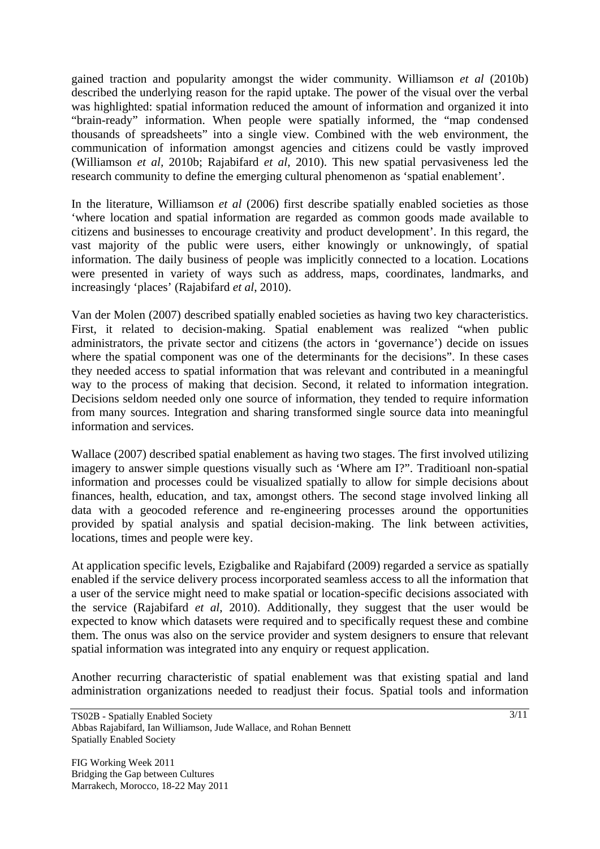gained traction and popularity amongst the wider community. Williamson *et al* (2010b) described the underlying reason for the rapid uptake. The power of the visual over the verbal was highlighted: spatial information reduced the amount of information and organized it into "brain-ready" information. When people were spatially informed, the "map condensed thousands of spreadsheets" into a single view. Combined with the web environment, the communication of information amongst agencies and citizens could be vastly improved (Williamson *et al,* 2010b; Rajabifard *et al*, 2010). This new spatial pervasiveness led the research community to define the emerging cultural phenomenon as 'spatial enablement'.

In the literature, Williamson *et al* (2006) first describe spatially enabled societies as those 'where location and spatial information are regarded as common goods made available to citizens and businesses to encourage creativity and product development'. In this regard, the vast majority of the public were users, either knowingly or unknowingly, of spatial information. The daily business of people was implicitly connected to a location. Locations were presented in variety of ways such as address, maps, coordinates, landmarks, and increasingly 'places' (Rajabifard *et al*, 2010).

Van der Molen (2007) described spatially enabled societies as having two key characteristics. First, it related to decision-making. Spatial enablement was realized "when public administrators, the private sector and citizens (the actors in 'governance') decide on issues where the spatial component was one of the determinants for the decisions". In these cases they needed access to spatial information that was relevant and contributed in a meaningful way to the process of making that decision. Second, it related to information integration. Decisions seldom needed only one source of information, they tended to require information from many sources. Integration and sharing transformed single source data into meaningful information and services.

Wallace (2007) described spatial enablement as having two stages. The first involved utilizing imagery to answer simple questions visually such as 'Where am I?". Traditioanl non-spatial information and processes could be visualized spatially to allow for simple decisions about finances, health, education, and tax, amongst others. The second stage involved linking all data with a geocoded reference and re-engineering processes around the opportunities provided by spatial analysis and spatial decision-making. The link between activities, locations, times and people were key.

At application specific levels, Ezigbalike and Rajabifard (2009) regarded a service as spatially enabled if the service delivery process incorporated seamless access to all the information that a user of the service might need to make spatial or location-specific decisions associated with the service (Rajabifard *et al*, 2010). Additionally, they suggest that the user would be expected to know which datasets were required and to specifically request these and combine them. The onus was also on the service provider and system designers to ensure that relevant spatial information was integrated into any enquiry or request application.

Another recurring characteristic of spatial enablement was that existing spatial and land administration organizations needed to readjust their focus. Spatial tools and information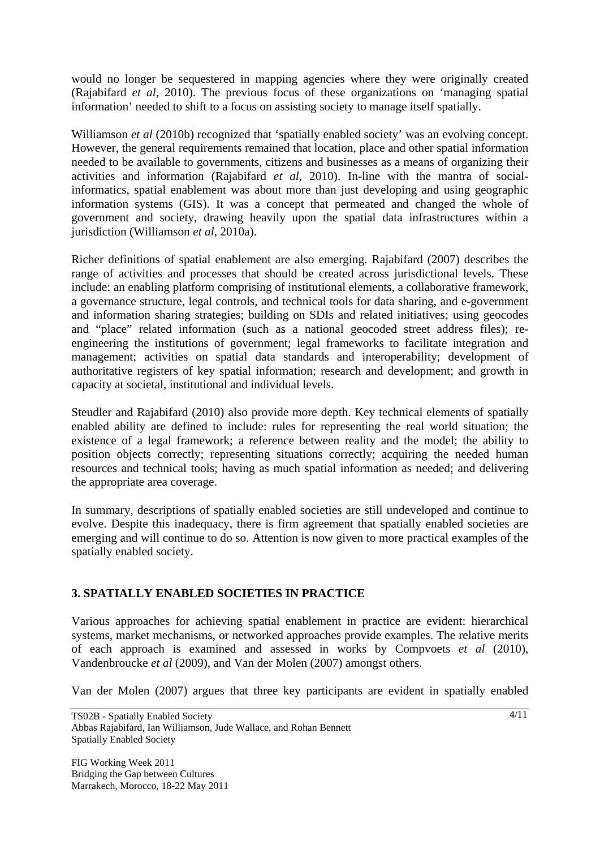would no longer be sequestered in mapping agencies where they were originally created (Rajabifard *et al*, 2010). The previous focus of these organizations on 'managing spatial information' needed to shift to a focus on assisting society to manage itself spatially.

Williamson *et al* (2010b) recognized that 'spatially enabled society' was an evolving concept. However, the general requirements remained that location, place and other spatial information needed to be available to governments, citizens and businesses as a means of organizing their activities and information (Rajabifard *et al*, 2010). In-line with the mantra of socialinformatics, spatial enablement was about more than just developing and using geographic information systems (GIS). It was a concept that permeated and changed the whole of government and society, drawing heavily upon the spatial data infrastructures within a jurisdiction (Williamson *et al*, 2010a).

Richer definitions of spatial enablement are also emerging. Rajabifard (2007) describes the range of activities and processes that should be created across jurisdictional levels. These include: an enabling platform comprising of institutional elements, a collaborative framework, a governance structure, legal controls, and technical tools for data sharing, and e-government and information sharing strategies; building on SDIs and related initiatives; using geocodes and "place" related information (such as a national geocoded street address files); reengineering the institutions of government; legal frameworks to facilitate integration and management; activities on spatial data standards and interoperability; development of authoritative registers of key spatial information; research and development; and growth in capacity at societal, institutional and individual levels.

Steudler and Rajabifard (2010) also provide more depth. Key technical elements of spatially enabled ability are defined to include: rules for representing the real world situation; the existence of a legal framework; a reference between reality and the model; the ability to position objects correctly; representing situations correctly; acquiring the needed human resources and technical tools; having as much spatial information as needed; and delivering the appropriate area coverage.

In summary, descriptions of spatially enabled societies are still undeveloped and continue to evolve. Despite this inadequacy, there is firm agreement that spatially enabled societies are emerging and will continue to do so. Attention is now given to more practical examples of the spatially enabled society.

#### **3. SPATIALLY ENABLED SOCIETIES IN PRACTICE**

Various approaches for achieving spatial enablement in practice are evident: hierarchical systems, market mechanisms, or networked approaches provide examples. The relative merits of each approach is examined and assessed in works by Compvoets *et al* (2010), Vandenbroucke *et al* (2009), and Van der Molen (2007) amongst others.

Van der Molen (2007) argues that three key participants are evident in spatially enabled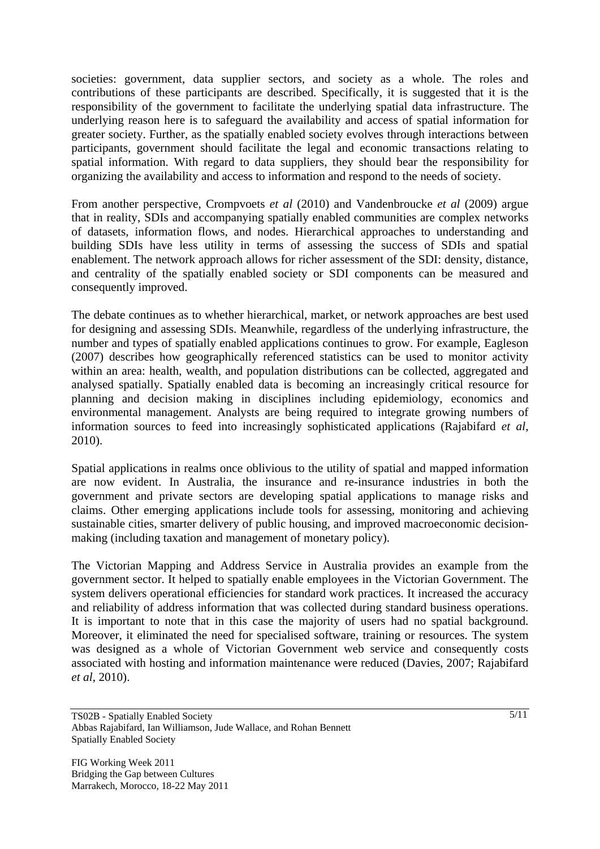societies: government, data supplier sectors, and society as a whole. The roles and contributions of these participants are described. Specifically, it is suggested that it is the responsibility of the government to facilitate the underlying spatial data infrastructure. The underlying reason here is to safeguard the availability and access of spatial information for greater society. Further, as the spatially enabled society evolves through interactions between participants, government should facilitate the legal and economic transactions relating to spatial information. With regard to data suppliers, they should bear the responsibility for organizing the availability and access to information and respond to the needs of society.

From another perspective, Crompvoets *et al* (2010) and Vandenbroucke *et al* (2009) argue that in reality, SDIs and accompanying spatially enabled communities are complex networks of datasets, information flows, and nodes. Hierarchical approaches to understanding and building SDIs have less utility in terms of assessing the success of SDIs and spatial enablement. The network approach allows for richer assessment of the SDI: density, distance, and centrality of the spatially enabled society or SDI components can be measured and consequently improved.

The debate continues as to whether hierarchical, market, or network approaches are best used for designing and assessing SDIs. Meanwhile, regardless of the underlying infrastructure, the number and types of spatially enabled applications continues to grow. For example, Eagleson (2007) describes how geographically referenced statistics can be used to monitor activity within an area: health, wealth, and population distributions can be collected, aggregated and analysed spatially. Spatially enabled data is becoming an increasingly critical resource for planning and decision making in disciplines including epidemiology, economics and environmental management. Analysts are being required to integrate growing numbers of information sources to feed into increasingly sophisticated applications (Rajabifard *et al*, 2010).

Spatial applications in realms once oblivious to the utility of spatial and mapped information are now evident. In Australia, the insurance and re-insurance industries in both the government and private sectors are developing spatial applications to manage risks and claims. Other emerging applications include tools for assessing, monitoring and achieving sustainable cities, smarter delivery of public housing, and improved macroeconomic decisionmaking (including taxation and management of monetary policy).

The Victorian Mapping and Address Service in Australia provides an example from the government sector. It helped to spatially enable employees in the Victorian Government. The system delivers operational efficiencies for standard work practices. It increased the accuracy and reliability of address information that was collected during standard business operations. It is important to note that in this case the majority of users had no spatial background. Moreover, it eliminated the need for specialised software, training or resources. The system was designed as a whole of Victorian Government web service and consequently costs associated with hosting and information maintenance were reduced (Davies, 2007; Rajabifard *et al*, 2010).

TS02B - Spatially Enabled Society Abbas Rajabifard, Ian Williamson, Jude Wallace, and Rohan Bennett Spatially Enabled Society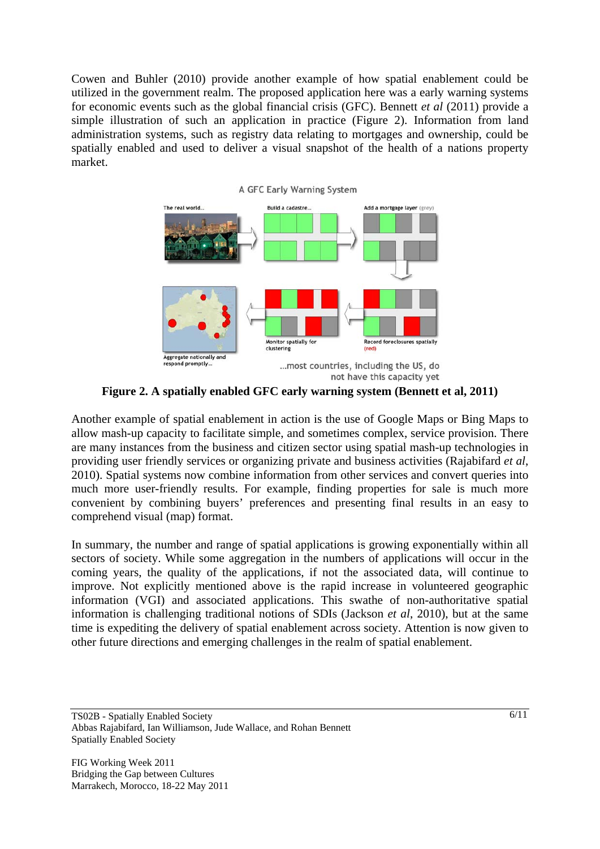Cowen and Buhler (2010) provide another example of how spatial enablement could be utilized in the government realm. The proposed application here was a early warning systems for economic events such as the global financial crisis (GFC). Bennett *et al* (2011) provide a simple illustration of such an application in practice (Figure 2). Information from land administration systems, such as registry data relating to mortgages and ownership, could be spatially enabled and used to deliver a visual snapshot of the health of a nations property market.



**Figure 2. A spatially enabled GFC early warning system (Bennett et al, 2011)** 

Another example of spatial enablement in action is the use of Google Maps or Bing Maps to allow mash-up capacity to facilitate simple, and sometimes complex, service provision. There are many instances from the business and citizen sector using spatial mash-up technologies in providing user friendly services or organizing private and business activities (Rajabifard *et al*, 2010). Spatial systems now combine information from other services and convert queries into much more user-friendly results. For example, finding properties for sale is much more convenient by combining buyers' preferences and presenting final results in an easy to comprehend visual (map) format.

In summary, the number and range of spatial applications is growing exponentially within all sectors of society. While some aggregation in the numbers of applications will occur in the coming years, the quality of the applications, if not the associated data, will continue to improve. Not explicitly mentioned above is the rapid increase in volunteered geographic information (VGI) and associated applications. This swathe of non-authoritative spatial information is challenging traditional notions of SDIs (Jackson *et al*, 2010), but at the same time is expediting the delivery of spatial enablement across society. Attention is now given to other future directions and emerging challenges in the realm of spatial enablement.

TS02B - Spatially Enabled Society Abbas Rajabifard, Ian Williamson, Jude Wallace, and Rohan Bennett Spatially Enabled Society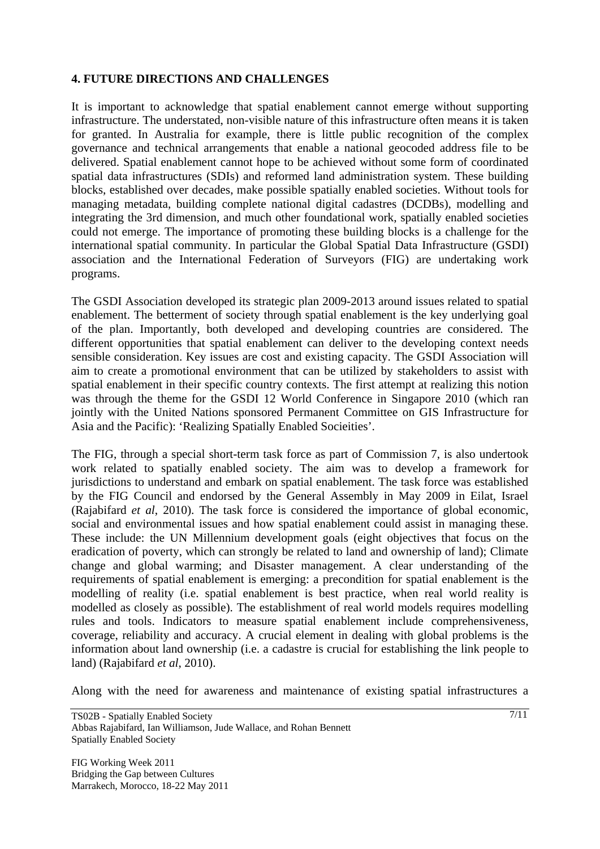#### **4. FUTURE DIRECTIONS AND CHALLENGES**

It is important to acknowledge that spatial enablement cannot emerge without supporting infrastructure. The understated, non-visible nature of this infrastructure often means it is taken for granted. In Australia for example, there is little public recognition of the complex governance and technical arrangements that enable a national geocoded address file to be delivered. Spatial enablement cannot hope to be achieved without some form of coordinated spatial data infrastructures (SDIs) and reformed land administration system. These building blocks, established over decades, make possible spatially enabled societies. Without tools for managing metadata, building complete national digital cadastres (DCDBs), modelling and integrating the 3rd dimension, and much other foundational work, spatially enabled societies could not emerge. The importance of promoting these building blocks is a challenge for the international spatial community. In particular the Global Spatial Data Infrastructure (GSDI) association and the International Federation of Surveyors (FIG) are undertaking work programs.

The GSDI Association developed its strategic plan 2009-2013 around issues related to spatial enablement. The betterment of society through spatial enablement is the key underlying goal of the plan. Importantly, both developed and developing countries are considered. The different opportunities that spatial enablement can deliver to the developing context needs sensible consideration. Key issues are cost and existing capacity. The GSDI Association will aim to create a promotional environment that can be utilized by stakeholders to assist with spatial enablement in their specific country contexts. The first attempt at realizing this notion was through the theme for the GSDI 12 World Conference in Singapore 2010 (which ran jointly with the United Nations sponsored Permanent Committee on GIS Infrastructure for Asia and the Pacific): 'Realizing Spatially Enabled Socieities'.

The FIG, through a special short-term task force as part of Commission 7, is also undertook work related to spatially enabled society. The aim was to develop a framework for jurisdictions to understand and embark on spatial enablement. The task force was established by the FIG Council and endorsed by the General Assembly in May 2009 in Eilat, Israel (Rajabifard *et al*, 2010). The task force is considered the importance of global economic, social and environmental issues and how spatial enablement could assist in managing these. These include: the UN Millennium development goals (eight objectives that focus on the eradication of poverty, which can strongly be related to land and ownership of land); Climate change and global warming; and Disaster management. A clear understanding of the requirements of spatial enablement is emerging: a precondition for spatial enablement is the modelling of reality (i.e. spatial enablement is best practice, when real world reality is modelled as closely as possible). The establishment of real world models requires modelling rules and tools. Indicators to measure spatial enablement include comprehensiveness, coverage, reliability and accuracy. A crucial element in dealing with global problems is the information about land ownership (i.e. a cadastre is crucial for establishing the link people to land) (Rajabifard *et al*, 2010).

Along with the need for awareness and maintenance of existing spatial infrastructures a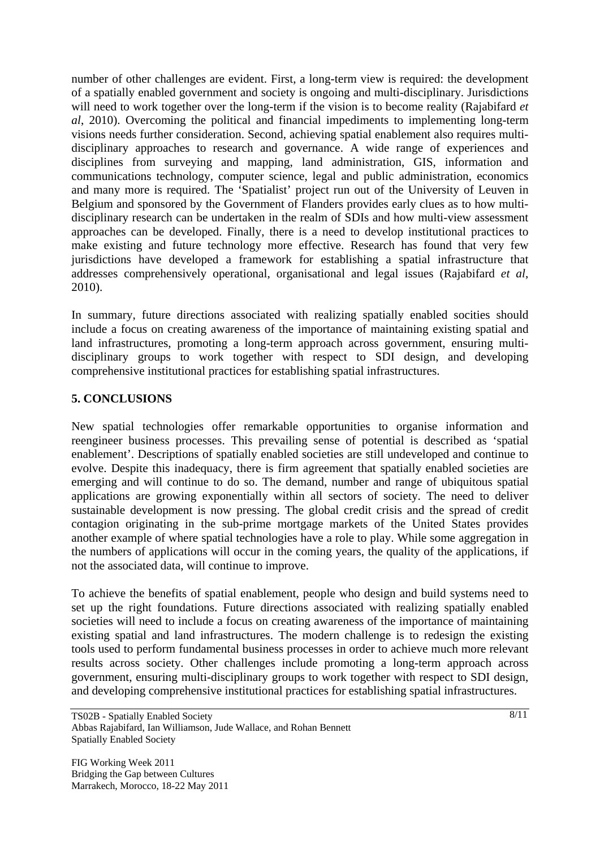number of other challenges are evident. First, a long-term view is required: the development of a spatially enabled government and society is ongoing and multi-disciplinary. Jurisdictions will need to work together over the long-term if the vision is to become reality (Rajabifard *et al*, 2010). Overcoming the political and financial impediments to implementing long-term visions needs further consideration. Second, achieving spatial enablement also requires multidisciplinary approaches to research and governance. A wide range of experiences and disciplines from surveying and mapping, land administration, GIS, information and communications technology, computer science, legal and public administration, economics and many more is required. The 'Spatialist' project run out of the University of Leuven in Belgium and sponsored by the Government of Flanders provides early clues as to how multidisciplinary research can be undertaken in the realm of SDIs and how multi-view assessment approaches can be developed. Finally, there is a need to develop institutional practices to make existing and future technology more effective. Research has found that very few jurisdictions have developed a framework for establishing a spatial infrastructure that addresses comprehensively operational, organisational and legal issues (Rajabifard *et al*, 2010).

In summary, future directions associated with realizing spatially enabled socities should include a focus on creating awareness of the importance of maintaining existing spatial and land infrastructures, promoting a long-term approach across government, ensuring multidisciplinary groups to work together with respect to SDI design, and developing comprehensive institutional practices for establishing spatial infrastructures.

### **5. CONCLUSIONS**

New spatial technologies offer remarkable opportunities to organise information and reengineer business processes. This prevailing sense of potential is described as 'spatial enablement'. Descriptions of spatially enabled societies are still undeveloped and continue to evolve. Despite this inadequacy, there is firm agreement that spatially enabled societies are emerging and will continue to do so. The demand, number and range of ubiquitous spatial applications are growing exponentially within all sectors of society. The need to deliver sustainable development is now pressing. The global credit crisis and the spread of credit contagion originating in the sub-prime mortgage markets of the United States provides another example of where spatial technologies have a role to play. While some aggregation in the numbers of applications will occur in the coming years, the quality of the applications, if not the associated data, will continue to improve.

To achieve the benefits of spatial enablement, people who design and build systems need to set up the right foundations. Future directions associated with realizing spatially enabled societies will need to include a focus on creating awareness of the importance of maintaining existing spatial and land infrastructures. The modern challenge is to redesign the existing tools used to perform fundamental business processes in order to achieve much more relevant results across society. Other challenges include promoting a long-term approach across government, ensuring multi-disciplinary groups to work together with respect to SDI design, and developing comprehensive institutional practices for establishing spatial infrastructures.

TS02B - Spatially Enabled Society Abbas Rajabifard, Ian Williamson, Jude Wallace, and Rohan Bennett Spatially Enabled Society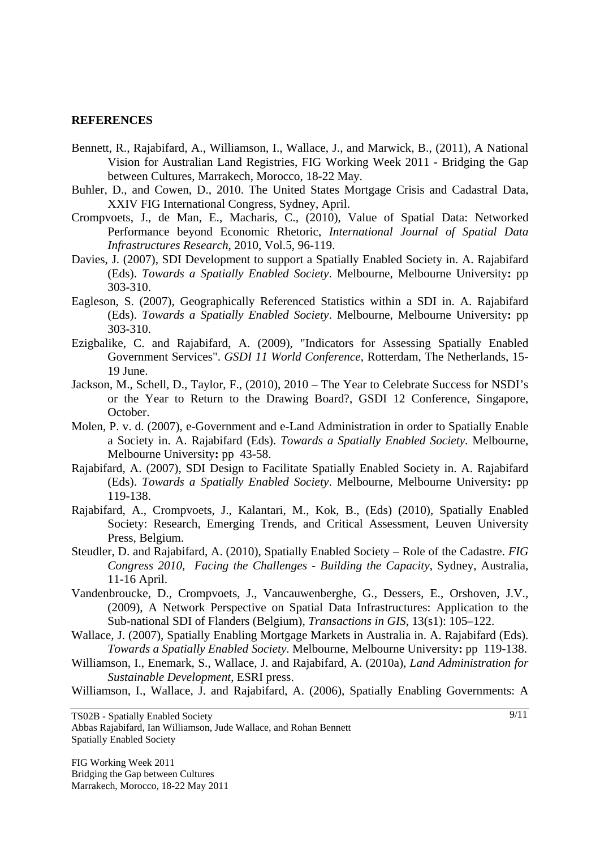#### **REFERENCES**

- Bennett, R., Rajabifard, A., Williamson, I., Wallace, J., and Marwick, B., (2011), A National Vision for Australian Land Registries, FIG Working Week 2011 - Bridging the Gap between Cultures, Marrakech, Morocco, 18-22 May.
- Buhler, D., and Cowen, D., 2010. The United States Mortgage Crisis and Cadastral Data, XXIV FIG International Congress, Sydney, April.
- Crompvoets, J., de Man, E., Macharis, C., (2010), Value of Spatial Data: Networked Performance beyond Economic Rhetoric, *International Journal of Spatial Data Infrastructures Research*, 2010, Vol.5, 96-119.
- Davies, J. (2007), SDI Development to support a Spatially Enabled Society in. A. Rajabifard (Eds). *Towards a Spatially Enabled Society*. Melbourne, Melbourne University**:** pp 303-310.
- Eagleson, S. (2007), Geographically Referenced Statistics within a SDI in. A. Rajabifard (Eds). *Towards a Spatially Enabled Society*. Melbourne, Melbourne University**:** pp 303-310.
- Ezigbalike, C. and Rajabifard, A. (2009), "Indicators for Assessing Spatially Enabled Government Services". *GSDI 11 World Conference*, Rotterdam, The Netherlands, 15- 19 June.
- Jackson, M., Schell, D., Taylor, F., (2010), 2010 The Year to Celebrate Success for NSDI's or the Year to Return to the Drawing Board?, GSDI 12 Conference, Singapore, October.
- Molen, P. v. d. (2007), e-Government and e-Land Administration in order to Spatially Enable a Society in. A. Rajabifard (Eds). *Towards a Spatially Enabled Society*. Melbourne, Melbourne University**:** pp43-58.
- Rajabifard, A. (2007), SDI Design to Facilitate Spatially Enabled Society in. A. Rajabifard (Eds). *Towards a Spatially Enabled Society*. Melbourne, Melbourne University**:** pp 119-138.
- Rajabifard, A., Crompvoets, J., Kalantari, M., Kok, B., (Eds) (2010), Spatially Enabled Society: Research, Emerging Trends, and Critical Assessment, Leuven University Press, Belgium.
- Steudler, D. and Rajabifard, A. (2010), Spatially Enabled Society Role of the Cadastre. *FIG Congress 2010, Facing the Challenges - Building the Capacity*, Sydney, Australia, 11-16 April.
- Vandenbroucke, D., Crompvoets, J., Vancauwenberghe, G., Dessers, E., Orshoven, J.V., (2009), A Network Perspective on Spatial Data Infrastructures: Application to the Sub-national SDI of Flanders (Belgium), *Transactions in GIS*, 13(s1): 105–122.
- Wallace, J. (2007), Spatially Enabling Mortgage Markets in Australia in. A. Rajabifard (Eds). *Towards a Spatially Enabled Society*. Melbourne, Melbourne University**:** pp119-138.
- Williamson, I., Enemark, S., Wallace, J. and Rajabifard, A. (2010a), *Land Administration for Sustainable Development*, ESRI press.

Williamson, I., Wallace, J. and Rajabifard, A. (2006), Spatially Enabling Governments: A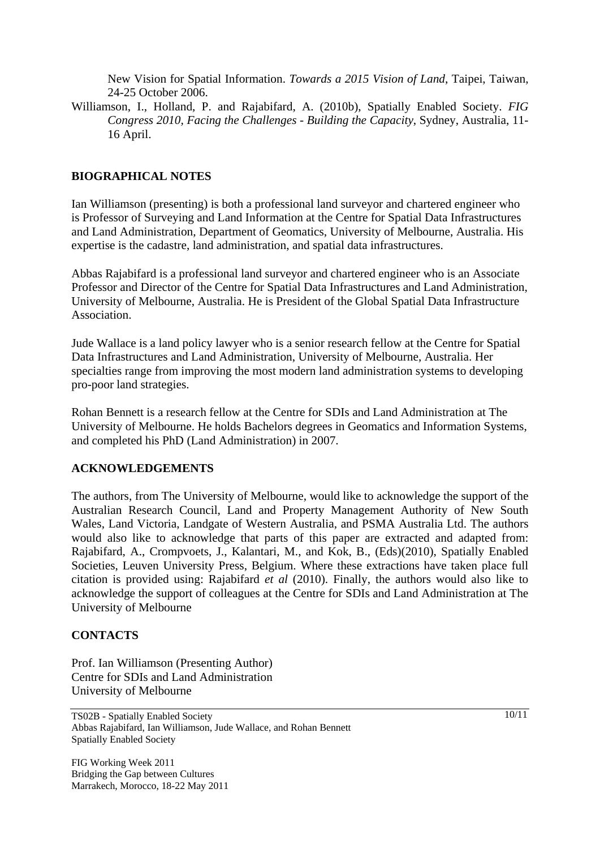New Vision for Spatial Information. *Towards a 2015 Vision of Land*, Taipei, Taiwan, 24-25 October 2006.

Williamson, I., Holland, P. and Rajabifard, A. (2010b), Spatially Enabled Society. *FIG Congress 2010, Facing the Challenges - Building the Capacity*, Sydney, Australia, 11- 16 April.

### **BIOGRAPHICAL NOTES**

Ian Williamson (presenting) is both a professional land surveyor and chartered engineer who is Professor of Surveying and Land Information at the Centre for Spatial Data Infrastructures and Land Administration, Department of Geomatics, University of Melbourne, Australia. His expertise is the cadastre, land administration, and spatial data infrastructures.

Abbas Rajabifard is a professional land surveyor and chartered engineer who is an Associate Professor and Director of the Centre for Spatial Data Infrastructures and Land Administration, University of Melbourne, Australia. He is President of the Global Spatial Data Infrastructure Association.

Jude Wallace is a land policy lawyer who is a senior research fellow at the Centre for Spatial Data Infrastructures and Land Administration, University of Melbourne, Australia. Her specialties range from improving the most modern land administration systems to developing pro-poor land strategies.

Rohan Bennett is a research fellow at the Centre for SDIs and Land Administration at The University of Melbourne. He holds Bachelors degrees in Geomatics and Information Systems, and completed his PhD (Land Administration) in 2007.

#### **ACKNOWLEDGEMENTS**

The authors, from The University of Melbourne, would like to acknowledge the support of the Australian Research Council, Land and Property Management Authority of New South Wales, Land Victoria, Landgate of Western Australia, and PSMA Australia Ltd. The authors would also like to acknowledge that parts of this paper are extracted and adapted from: Rajabifard, A., Crompvoets, J., Kalantari, M., and Kok, B., (Eds)(2010), Spatially Enabled Societies, Leuven University Press, Belgium. Where these extractions have taken place full citation is provided using: Rajabifard *et al* (2010). Finally, the authors would also like to acknowledge the support of colleagues at the Centre for SDIs and Land Administration at The University of Melbourne

#### **CONTACTS**

Prof. Ian Williamson (Presenting Author) Centre for SDIs and Land Administration University of Melbourne

TS02B - Spatially Enabled Society Abbas Rajabifard, Ian Williamson, Jude Wallace, and Rohan Bennett Spatially Enabled Society